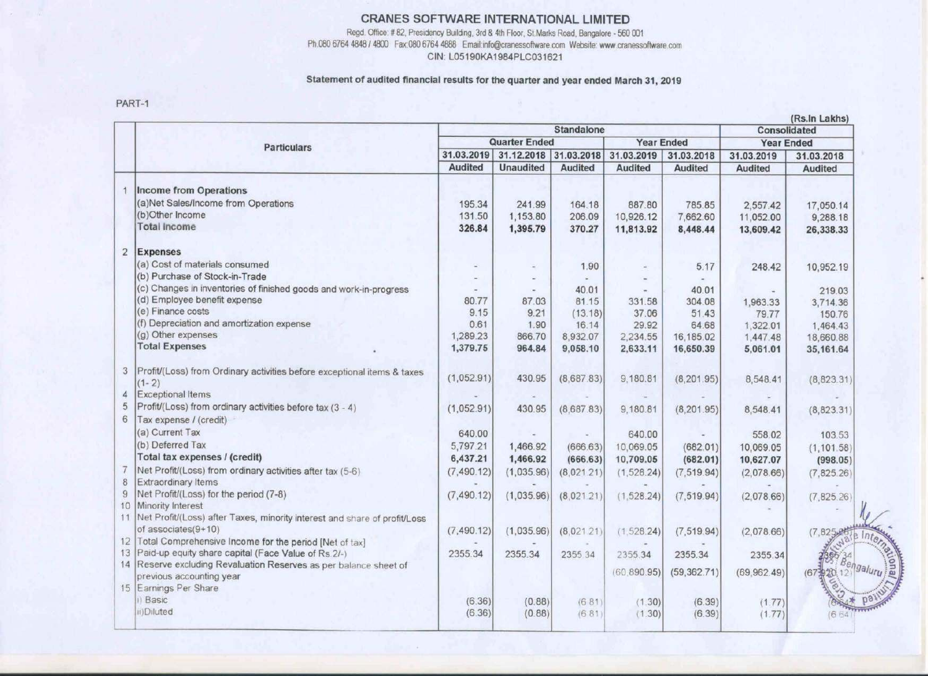## CRANES SOFTWARE INTERNATIONAL LIMITED

Regd. Office: # 82, Presidency Building, 3rd & 4th Floor, St.Marks Road, Bangalore - 560 001 Ph.080 6764 4848 / 4800 Fax:080 6764 4888 Email:info@cranessoftware.com Website: www.cranessoftware.com CIN: LO5190KA1984PLC031621

#### Statement of audited financial results for the quarter and year ended March 31, 2019

PART-1

|                                                                                          | <b>Standalone</b><br>Consolidated                                                                                                                                                                                                                                                                                                                                                                                                                                                                                                                                                                                                                                                                                                                                                                                                                       |                                                                                                                                                               |                                                                                                                                            |                                                                                                                                                             |                                                                                                                                                                  |                                                                                                                                                                                   |                                                                                                                                                                                   |
|------------------------------------------------------------------------------------------|---------------------------------------------------------------------------------------------------------------------------------------------------------------------------------------------------------------------------------------------------------------------------------------------------------------------------------------------------------------------------------------------------------------------------------------------------------------------------------------------------------------------------------------------------------------------------------------------------------------------------------------------------------------------------------------------------------------------------------------------------------------------------------------------------------------------------------------------------------|---------------------------------------------------------------------------------------------------------------------------------------------------------------|--------------------------------------------------------------------------------------------------------------------------------------------|-------------------------------------------------------------------------------------------------------------------------------------------------------------|------------------------------------------------------------------------------------------------------------------------------------------------------------------|-----------------------------------------------------------------------------------------------------------------------------------------------------------------------------------|-----------------------------------------------------------------------------------------------------------------------------------------------------------------------------------|
| <b>Particulars</b>                                                                       | <b>Quarter Ended</b>                                                                                                                                                                                                                                                                                                                                                                                                                                                                                                                                                                                                                                                                                                                                                                                                                                    |                                                                                                                                                               |                                                                                                                                            | <b>Year Ended</b>                                                                                                                                           |                                                                                                                                                                  | <b>Year Ended</b>                                                                                                                                                                 |                                                                                                                                                                                   |
|                                                                                          | 31.03.2019                                                                                                                                                                                                                                                                                                                                                                                                                                                                                                                                                                                                                                                                                                                                                                                                                                              | 31.12.2018 31.03.2018                                                                                                                                         |                                                                                                                                            | 31.03.2019                                                                                                                                                  | 31.03.2018                                                                                                                                                       | 31.03.2019                                                                                                                                                                        | 31.03.2018                                                                                                                                                                        |
|                                                                                          | Audited                                                                                                                                                                                                                                                                                                                                                                                                                                                                                                                                                                                                                                                                                                                                                                                                                                                 | <b>Unaudited</b>                                                                                                                                              | <b>Audited</b>                                                                                                                             | <b>Audited</b>                                                                                                                                              | <b>Audited</b>                                                                                                                                                   | <b>Audited</b>                                                                                                                                                                    | Audited                                                                                                                                                                           |
| Income from Operations                                                                   |                                                                                                                                                                                                                                                                                                                                                                                                                                                                                                                                                                                                                                                                                                                                                                                                                                                         |                                                                                                                                                               |                                                                                                                                            |                                                                                                                                                             |                                                                                                                                                                  |                                                                                                                                                                                   |                                                                                                                                                                                   |
| (a)Net Sales/Income from Operations                                                      | 195.34                                                                                                                                                                                                                                                                                                                                                                                                                                                                                                                                                                                                                                                                                                                                                                                                                                                  | 241.99                                                                                                                                                        | 164.18                                                                                                                                     | 887.80                                                                                                                                                      | 785.85                                                                                                                                                           | 2,557.42                                                                                                                                                                          | 17,050.14                                                                                                                                                                         |
| (b)Other Income                                                                          | 131.50                                                                                                                                                                                                                                                                                                                                                                                                                                                                                                                                                                                                                                                                                                                                                                                                                                                  | 1,153.80                                                                                                                                                      | 206.09                                                                                                                                     | 10,926.12                                                                                                                                                   | 7,662.60                                                                                                                                                         | 11,052.00                                                                                                                                                                         | 9,288.18                                                                                                                                                                          |
| <b>Total Income</b>                                                                      | 326.84                                                                                                                                                                                                                                                                                                                                                                                                                                                                                                                                                                                                                                                                                                                                                                                                                                                  | 1,395.79                                                                                                                                                      | 370.27                                                                                                                                     | 11,813.92                                                                                                                                                   | 8,448.44                                                                                                                                                         | 13,609.42                                                                                                                                                                         | 26,338.33                                                                                                                                                                         |
| 2 Expenses                                                                               |                                                                                                                                                                                                                                                                                                                                                                                                                                                                                                                                                                                                                                                                                                                                                                                                                                                         |                                                                                                                                                               |                                                                                                                                            |                                                                                                                                                             |                                                                                                                                                                  |                                                                                                                                                                                   |                                                                                                                                                                                   |
| (a) Cost of materials consumed                                                           |                                                                                                                                                                                                                                                                                                                                                                                                                                                                                                                                                                                                                                                                                                                                                                                                                                                         | $\equiv$                                                                                                                                                      | 1.90                                                                                                                                       |                                                                                                                                                             | 5.17                                                                                                                                                             | 248.42                                                                                                                                                                            | 10,952.19                                                                                                                                                                         |
| (b) Purchase of Stock-in-Trade                                                           |                                                                                                                                                                                                                                                                                                                                                                                                                                                                                                                                                                                                                                                                                                                                                                                                                                                         |                                                                                                                                                               |                                                                                                                                            |                                                                                                                                                             |                                                                                                                                                                  |                                                                                                                                                                                   |                                                                                                                                                                                   |
|                                                                                          |                                                                                                                                                                                                                                                                                                                                                                                                                                                                                                                                                                                                                                                                                                                                                                                                                                                         |                                                                                                                                                               |                                                                                                                                            |                                                                                                                                                             |                                                                                                                                                                  |                                                                                                                                                                                   | 219.03                                                                                                                                                                            |
|                                                                                          |                                                                                                                                                                                                                                                                                                                                                                                                                                                                                                                                                                                                                                                                                                                                                                                                                                                         |                                                                                                                                                               |                                                                                                                                            |                                                                                                                                                             |                                                                                                                                                                  |                                                                                                                                                                                   | 3,714.36                                                                                                                                                                          |
| (e) Finance costs                                                                        |                                                                                                                                                                                                                                                                                                                                                                                                                                                                                                                                                                                                                                                                                                                                                                                                                                                         |                                                                                                                                                               |                                                                                                                                            |                                                                                                                                                             |                                                                                                                                                                  |                                                                                                                                                                                   | 150.76                                                                                                                                                                            |
|                                                                                          |                                                                                                                                                                                                                                                                                                                                                                                                                                                                                                                                                                                                                                                                                                                                                                                                                                                         |                                                                                                                                                               |                                                                                                                                            |                                                                                                                                                             |                                                                                                                                                                  |                                                                                                                                                                                   | 1,464.43                                                                                                                                                                          |
| (g) Other expenses                                                                       |                                                                                                                                                                                                                                                                                                                                                                                                                                                                                                                                                                                                                                                                                                                                                                                                                                                         |                                                                                                                                                               |                                                                                                                                            |                                                                                                                                                             |                                                                                                                                                                  |                                                                                                                                                                                   | 18,660.88                                                                                                                                                                         |
| <b>Total Expenses</b>                                                                    | 1,379.75                                                                                                                                                                                                                                                                                                                                                                                                                                                                                                                                                                                                                                                                                                                                                                                                                                                | 964.84                                                                                                                                                        | 9,058.10                                                                                                                                   | 2,633.11                                                                                                                                                    | 16,650.39                                                                                                                                                        | 5,061.01                                                                                                                                                                          | 35, 161.64                                                                                                                                                                        |
| 3   Profit/(Loss) from Ordinary activities before exceptional items & taxes<br>$(1 - 2)$ | (1,052.91)                                                                                                                                                                                                                                                                                                                                                                                                                                                                                                                                                                                                                                                                                                                                                                                                                                              | 430.95                                                                                                                                                        | (8,687.83)                                                                                                                                 | 9,180.81                                                                                                                                                    | (8, 201.95)                                                                                                                                                      | 8,548.41                                                                                                                                                                          | (8,823.31)                                                                                                                                                                        |
| Exceptional Items                                                                        |                                                                                                                                                                                                                                                                                                                                                                                                                                                                                                                                                                                                                                                                                                                                                                                                                                                         |                                                                                                                                                               |                                                                                                                                            |                                                                                                                                                             |                                                                                                                                                                  |                                                                                                                                                                                   |                                                                                                                                                                                   |
|                                                                                          |                                                                                                                                                                                                                                                                                                                                                                                                                                                                                                                                                                                                                                                                                                                                                                                                                                                         |                                                                                                                                                               |                                                                                                                                            |                                                                                                                                                             |                                                                                                                                                                  |                                                                                                                                                                                   | (8,823.31)                                                                                                                                                                        |
|                                                                                          |                                                                                                                                                                                                                                                                                                                                                                                                                                                                                                                                                                                                                                                                                                                                                                                                                                                         |                                                                                                                                                               |                                                                                                                                            |                                                                                                                                                             |                                                                                                                                                                  |                                                                                                                                                                                   |                                                                                                                                                                                   |
|                                                                                          |                                                                                                                                                                                                                                                                                                                                                                                                                                                                                                                                                                                                                                                                                                                                                                                                                                                         |                                                                                                                                                               |                                                                                                                                            |                                                                                                                                                             |                                                                                                                                                                  |                                                                                                                                                                                   | 103.53                                                                                                                                                                            |
|                                                                                          |                                                                                                                                                                                                                                                                                                                                                                                                                                                                                                                                                                                                                                                                                                                                                                                                                                                         |                                                                                                                                                               |                                                                                                                                            |                                                                                                                                                             |                                                                                                                                                                  |                                                                                                                                                                                   |                                                                                                                                                                                   |
|                                                                                          |                                                                                                                                                                                                                                                                                                                                                                                                                                                                                                                                                                                                                                                                                                                                                                                                                                                         |                                                                                                                                                               |                                                                                                                                            |                                                                                                                                                             |                                                                                                                                                                  |                                                                                                                                                                                   | (1, 101.58)                                                                                                                                                                       |
|                                                                                          |                                                                                                                                                                                                                                                                                                                                                                                                                                                                                                                                                                                                                                                                                                                                                                                                                                                         |                                                                                                                                                               |                                                                                                                                            |                                                                                                                                                             |                                                                                                                                                                  |                                                                                                                                                                                   | (998.05)                                                                                                                                                                          |
|                                                                                          |                                                                                                                                                                                                                                                                                                                                                                                                                                                                                                                                                                                                                                                                                                                                                                                                                                                         |                                                                                                                                                               |                                                                                                                                            |                                                                                                                                                             |                                                                                                                                                                  |                                                                                                                                                                                   | (7,825.26)                                                                                                                                                                        |
|                                                                                          |                                                                                                                                                                                                                                                                                                                                                                                                                                                                                                                                                                                                                                                                                                                                                                                                                                                         |                                                                                                                                                               |                                                                                                                                            |                                                                                                                                                             |                                                                                                                                                                  |                                                                                                                                                                                   |                                                                                                                                                                                   |
|                                                                                          |                                                                                                                                                                                                                                                                                                                                                                                                                                                                                                                                                                                                                                                                                                                                                                                                                                                         |                                                                                                                                                               |                                                                                                                                            |                                                                                                                                                             |                                                                                                                                                                  |                                                                                                                                                                                   | (7, 825.26)                                                                                                                                                                       |
|                                                                                          |                                                                                                                                                                                                                                                                                                                                                                                                                                                                                                                                                                                                                                                                                                                                                                                                                                                         |                                                                                                                                                               |                                                                                                                                            |                                                                                                                                                             |                                                                                                                                                                  |                                                                                                                                                                                   |                                                                                                                                                                                   |
|                                                                                          |                                                                                                                                                                                                                                                                                                                                                                                                                                                                                                                                                                                                                                                                                                                                                                                                                                                         |                                                                                                                                                               |                                                                                                                                            |                                                                                                                                                             |                                                                                                                                                                  |                                                                                                                                                                                   |                                                                                                                                                                                   |
|                                                                                          |                                                                                                                                                                                                                                                                                                                                                                                                                                                                                                                                                                                                                                                                                                                                                                                                                                                         |                                                                                                                                                               |                                                                                                                                            |                                                                                                                                                             |                                                                                                                                                                  |                                                                                                                                                                                   | (7,825史号)                                                                                                                                                                         |
|                                                                                          |                                                                                                                                                                                                                                                                                                                                                                                                                                                                                                                                                                                                                                                                                                                                                                                                                                                         |                                                                                                                                                               |                                                                                                                                            |                                                                                                                                                             |                                                                                                                                                                  |                                                                                                                                                                                   |                                                                                                                                                                                   |
|                                                                                          |                                                                                                                                                                                                                                                                                                                                                                                                                                                                                                                                                                                                                                                                                                                                                                                                                                                         |                                                                                                                                                               |                                                                                                                                            |                                                                                                                                                             |                                                                                                                                                                  |                                                                                                                                                                                   | Internet                                                                                                                                                                          |
|                                                                                          |                                                                                                                                                                                                                                                                                                                                                                                                                                                                                                                                                                                                                                                                                                                                                                                                                                                         |                                                                                                                                                               |                                                                                                                                            | (60, 890.95)                                                                                                                                                |                                                                                                                                                                  |                                                                                                                                                                                   | galuru <sup>7</sup><br>(673920)                                                                                                                                                   |
|                                                                                          |                                                                                                                                                                                                                                                                                                                                                                                                                                                                                                                                                                                                                                                                                                                                                                                                                                                         |                                                                                                                                                               |                                                                                                                                            |                                                                                                                                                             |                                                                                                                                                                  |                                                                                                                                                                                   |                                                                                                                                                                                   |
|                                                                                          |                                                                                                                                                                                                                                                                                                                                                                                                                                                                                                                                                                                                                                                                                                                                                                                                                                                         |                                                                                                                                                               |                                                                                                                                            |                                                                                                                                                             |                                                                                                                                                                  |                                                                                                                                                                                   |                                                                                                                                                                                   |
|                                                                                          |                                                                                                                                                                                                                                                                                                                                                                                                                                                                                                                                                                                                                                                                                                                                                                                                                                                         |                                                                                                                                                               |                                                                                                                                            |                                                                                                                                                             |                                                                                                                                                                  |                                                                                                                                                                                   | 664                                                                                                                                                                               |
|                                                                                          | (c) Changes in inventories of finished goods and work-in-progress<br>(d) Employee benefit expense<br>(f) Depreciation and amortization expense<br>Profit/(Loss) from ordinary activities before tax (3 - 4)<br>Tax expense / (credit)<br>(a) Current Tax<br>(b) Deferred Tax<br>Total tax expenses / (credit)<br>Net Profit/(Loss) from ordinary activities after tax (5-6)<br>Extraordinary Items<br>Net Profit/(Loss) for the period (7-8)<br>10 Minority Interest<br>11 Net Profit/(Loss) after Taxes, minority interest and share of profit/Loss<br>of associates(9+10)<br>12 Total Comprehensive Income for the period [Net of tax]<br>13 Paid-up equity share capital (Face Value of Rs 2/-)<br>14 Reserve excluding Revaluation Reserves as per balance sheet of<br>previous accounting year<br>15 Earnings Per Share<br>i) Basic<br>iii)Diluted | 80.77<br>9.15<br>0.61<br>1,289.23<br>(1,052.91)<br>640.00<br>5,797.21<br>6,437.21<br>(7, 490.12)<br>(7, 490, 12)<br>(7,490.12)<br>2355.34<br>(6.36)<br>(6.36) | 87.03<br>9.21<br>1.90<br>866.70<br>430.95<br>1,466.92<br>1,466.92<br>(1,035.96)<br>(1,035.96)<br>(1,035.96)<br>2355.34<br>(0.88)<br>(0.88) | 40.01<br>81.15<br>(13.18)<br>16.14<br>8,932.07<br>(8,687.83)<br>(666.63)<br>(666.63)<br>(8,021.21)<br>(8,021.21)<br>(8,021.21)<br>2355.34<br>(681)<br>(681) | 331.58<br>37.06<br>29.92<br>2,234.55<br>9,180.81<br>640.00<br>10,069.05<br>10,709.05<br>(1, 528.24)<br>(1, 528.24)<br>(1, 528.24)<br>2355.34<br>(1.30)<br>(1.30) | 40.01<br>304.08<br>51.43<br>64.68<br>16,185.02<br>(8, 201.95)<br>(682.01)<br>(682.01)<br>(7, 519.94)<br>(7, 519.94)<br>(7, 519.94)<br>2355.34<br>(59, 362.71)<br>(6.39)<br>(6.39) | 1,963.33<br>79.77<br>1,322.01<br>1,447.48<br>8,548.41<br>558.02<br>10,069.05<br>10,627.07<br>(2,078.66)<br>(2,078.66)<br>(2,078.66)<br>2355.34<br>(69,962.49)<br>(1.77)<br>(1.77) |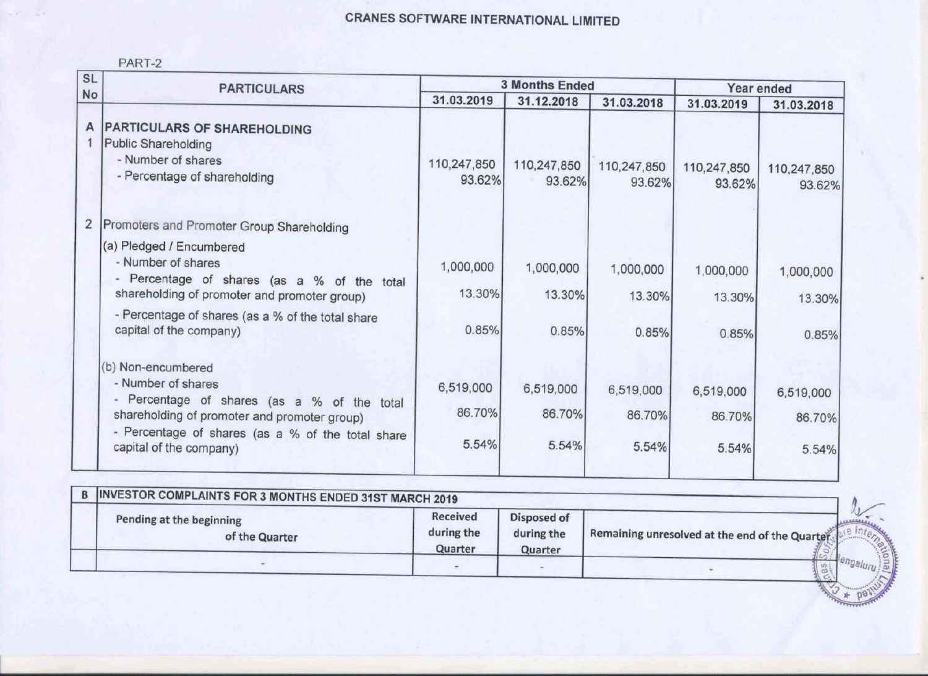# CRANES SOFTWARE INTERNATIONAL LIMITED

| PART |  |
|------|--|
|      |  |

 $\sim$   $\epsilon$ 

| <b>SL</b> | <b>PARTICULARS</b>                                                                                                                                                                                                      |                              | <b>3 Months Ended</b>        | Year ended                   |                              |                              |
|-----------|-------------------------------------------------------------------------------------------------------------------------------------------------------------------------------------------------------------------------|------------------------------|------------------------------|------------------------------|------------------------------|------------------------------|
| No        |                                                                                                                                                                                                                         | 31.03.2019                   | 31.12.2018                   | 31.03.2018                   | 31.03.2019                   | 31.03.2018                   |
| A         | <b>PARTICULARS OF SHAREHOLDING</b><br><b>Public Shareholding</b><br>- Number of shares<br>- Percentage of shareholding                                                                                                  | 110,247,850<br>93.62%        | 110,247,850<br>93.62%        | 110,247,850<br>93.62%        | 110,247,850<br>93.62%        | 110,247,850<br>93.62%        |
| 2         | Promoters and Promoter Group Shareholding                                                                                                                                                                               |                              |                              |                              |                              |                              |
|           | (a) Pledged / Encumbered<br>- Number of shares<br>- Percentage of shares (as a % of the total<br>shareholding of promoter and promoter group)                                                                           | 1,000,000<br>13.30%          | 1,000,000<br>13.30%          | 1,000,000<br>13.30%          | 1,000,000<br>13.30%          | 1,000,000<br>13.30%          |
|           | - Percentage of shares (as a % of the total share<br>capital of the company)                                                                                                                                            | 0.85%                        | 0.85%                        | 0.85%                        | 0.85%                        | 0.85%                        |
|           | (b) Non-encumbered<br>- Number of shares<br>- Percentage of shares (as a % of the total<br>shareholding of promoter and promoter group)<br>- Percentage of shares (as a % of the total share<br>capital of the company) | 6,519,000<br>86.70%<br>5.54% | 6,519,000<br>86.70%<br>5.54% | 6,519,000<br>86.70%<br>5.54% | 6,519,000<br>86.70%<br>5.54% | 6,519,000<br>86.70%<br>5.54% |

| INVESTOR COMPLAINTS FOR 3 MONTHS ENDED 31ST MARCH 2019 |                                   |                                      |                                                 |      |
|--------------------------------------------------------|-----------------------------------|--------------------------------------|-------------------------------------------------|------|
| Pending at the beginning<br>of the Quarter             | Received<br>during the<br>Quarter | Disposed of<br>during the<br>Quarter | Remaining unresolved at the end of the Quarter. |      |
|                                                        |                                   |                                      |                                                 | enga |

Blury SE **AND & POINT**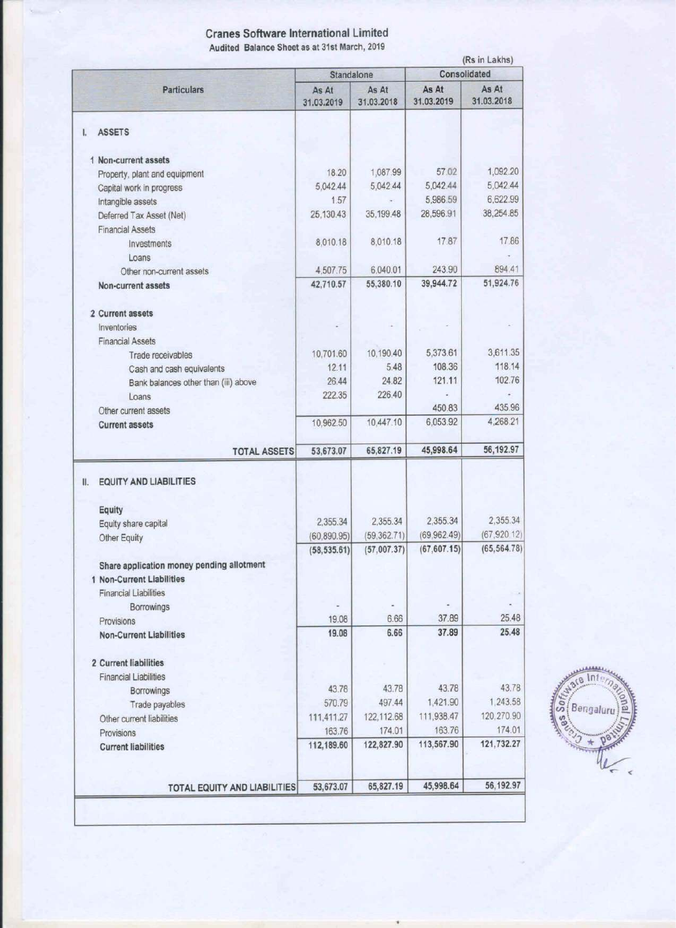## Cranes Software International Limited Audited Balance Sheet as at 31st March, 2019

|                                                           | Standalone          |                     | (Rs in Lakhs)<br>Consolidated |                     |  |
|-----------------------------------------------------------|---------------------|---------------------|-------------------------------|---------------------|--|
| <b>Particulars</b>                                        | As At<br>31.03.2019 | As At<br>31.03.2018 | As At<br>31.03.2019           | As At<br>31.03.2018 |  |
| <b>ASSETS</b><br>I.                                       |                     |                     |                               |                     |  |
| 1 Non-current assets                                      |                     |                     |                               |                     |  |
| Property, plant and equipment                             | 18.20               | 1,087.99            | 57.02                         | 1,092.20            |  |
| Capital work in progress                                  | 5,042.44            | 5,042.44            | 5,042.44                      | 5,042.44            |  |
| Intangible assets                                         | 1.57                |                     | 5,986.59                      | 6,622.99            |  |
| Deferred Tax Asset (Net)                                  | 25,130.43           | 35,199.48           | 28,596.91                     | 38,254.85           |  |
| <b>Financial Assets</b>                                   |                     |                     |                               |                     |  |
| Investments                                               | 8,010.18            | 8,010.18            | 17.87                         | 17.86               |  |
| Loans                                                     |                     |                     |                               |                     |  |
| Other non-current assets                                  | 4,507.75            | 6,040.01            | 243.90                        | 894.41              |  |
| Non-current assets                                        | 42,710.57           | 55,380.10           | 39,944.72                     | 51,924.76           |  |
| 2 Current assets                                          |                     |                     |                               |                     |  |
| Inventories                                               |                     |                     |                               |                     |  |
| <b>Financial Assets</b>                                   |                     |                     |                               |                     |  |
| Trade receivables                                         | 10,701.60           | 10,190.40           | 5,373.61                      | 3,611.35            |  |
| Cash and cash equivalents                                 | 12.11               | 5.48                | 108.36                        | 118.14              |  |
| Bank balances other than (iii) above                      | 26.44               | 24.82               | 121.11                        | 102.76              |  |
| Loans                                                     | 222.35              | 226.40              |                               | é                   |  |
| Other current assets                                      |                     |                     | 450.83                        | 435.96              |  |
| <b>Current assets</b>                                     | 10,962.50           | 10,447.10           | 6,053.92                      | 4,268.21            |  |
|                                                           |                     |                     |                               |                     |  |
| <b>TOTAL ASSETS</b>                                       | 53,673.07           | 65,827.19           | 45,998.64                     | 56, 192.97          |  |
| <b>EQUITY AND LIABILITIES</b><br>II.                      |                     |                     |                               |                     |  |
|                                                           |                     |                     |                               |                     |  |
| Equity                                                    | 2,355.34            | 2.355.34            | 2,355.34                      | 2,355.34            |  |
| Equity share capital                                      | (60, 890.95)        | (59, 362.71)        | (69,962.49)                   | (67, 920.12)        |  |
| Other Equity                                              | (58, 535.61)        | (57,007.37)         | (67, 607.15)                  | (65, 564.78)        |  |
|                                                           |                     |                     |                               |                     |  |
| Share application money pending allotment                 |                     |                     |                               |                     |  |
| 1 Non-Current Liabilities<br><b>Financial Liabilities</b> |                     |                     |                               |                     |  |
|                                                           |                     |                     |                               |                     |  |
| Borrowings<br>Provisions                                  | 19.08               | 6.66                | 37.89                         | 25.48               |  |
| <b>Non-Current Liabilities</b>                            | 19.08               | 6.66                | 37.89                         | 25.48               |  |
|                                                           |                     |                     |                               |                     |  |
| 2 Current liabilities                                     |                     |                     |                               |                     |  |
| <b>Financial Liabilities</b>                              |                     |                     |                               |                     |  |
| Borrowings                                                | 43.78               | 43.78               | 43.78                         | 43.78               |  |
| Trade payables                                            | 570.79              | 497.44              | 1,421.90                      | 1,243.58            |  |
| Other current liabilities                                 | 111,411.27          | 122, 112.68         | 111,938.47                    | 120,270.90          |  |
| Provisions                                                | 163.76              | 174.01              | 163.76                        | 174.01              |  |
| <b>Current liabilities</b>                                | 112,189.60          | 122,827.90          | 113,567.90                    | 121,732.27          |  |
|                                                           |                     |                     |                               |                     |  |
|                                                           | 53,673.07           | 65,827.19           | 45,998.64                     | 56, 192.97          |  |